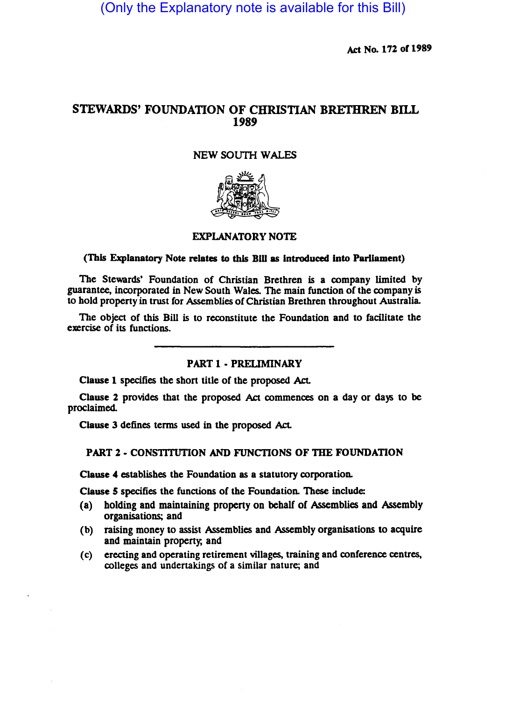(Only the Explanatory note is available for this Bill)

Act No. 172 of 1989

# STEWARDS' FOUNDATION OF CHRISTIAN BRETHREN BILL 1989

### NEW SOUTH WALES



### EXPLANATORY NOTE

#### (This Explanatory Note relates to this DIU as Introduced Into Parliament)

The Stewards' Foundation of Christian Brethren is a company limited by guarantee, incorporated in New South Wales. The main function of the company is to hold propeny in trust for Assemblies of Christian Brethren throughout Australia.

The object of this Bill is to reconstitute the Foundation and to facilitate the exercise of its functions.

# PART 1 • PRELIMINARY

Clause 1 specifies the short title of the proposed Act.

Clause 2 provides that the proposed Act commences on a day or days to be proclaimed.

Clause 3 defines terms used in the proposed Act.

# PART 2 - CONSTITUTION AND FUNCTIONS OF THE FOUNDATION

Clause 4 establishes the Foundation as a statutory corporation.

Clause 5 specifies the functions of the Foundation. These include:

- (a) holding and maintaining property on behalf of Assemblies and Assembly organisations; and
- (b) raising money to assist Assemblies and Assembly organisations to acquire and maintain property, and
- (c) erecting and operating retirement villages. training and conference centres, colleges and undertakings of a similar nature; and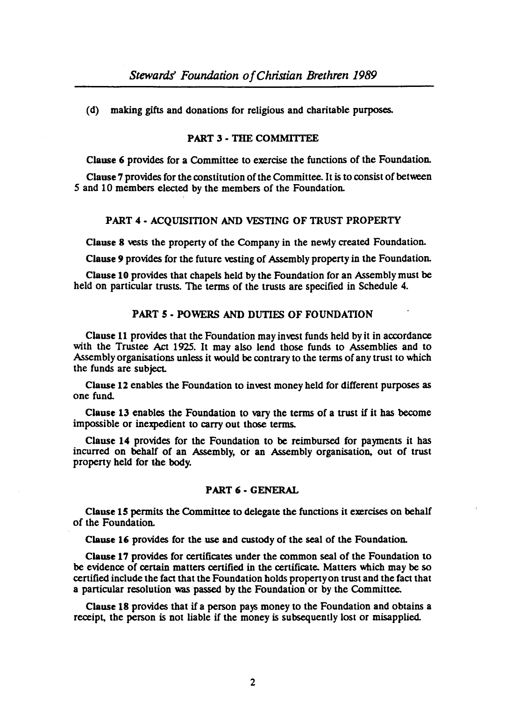(d) making gifts and donations for religious and charitable purposes.

# PART 3 - THE COMMITTEE

Clause 6 provides for a Committee to exercise the functions of the Foundation.

Clause 7 provides for the constitution of the Committee. It is to consist of between *5* and 10 members elected by the members of the Foundation.

#### PART 4 - ACQUISITION AND VESTING OF TRUST PROPERTY

Clause 8 vests the property of the Company in the newly created Foundation.

Clause 9 provides for the future vesting of Assembly property in the Foundation.

Clause 10 provides that chapels held by the Foundation for an Assembly must be held on particular trusts. The terms of the trusts are specified in Schedule 4.

### PART 5 • POWERS AND DUTIES OF FOUNDATION

Clause 11 provides that the Foundation may invest funds held by it in accordance with the Trustee Act 1925. It may also lend those funds to Assemblies and to Assembly organisations unless it would be contrary to the terms of any trust to which the funds are subject.

Clause 12 enables the Foundation to invest money held for different purposes as one fund.

Clause 13 enables the Foundation to vary the terms of a trust if it has become impossible or inexpedient to carry out those terms.

Clause 14 provides for the Foundation to be reimbursed for payments it has incurred on behalf of an Assembly. or an Assembly organisation, out of trust propeny held for the body.

#### PART 6 • GENERAL

Clause 15 permits the Committee to delegate the functions it exercises on behalf of the Foundation.

Clause 16 provides for the use and custody of the seal of the Foundation.

Clause 17 provides for cenificates under the common seal of the Foundation to be evidence of certain matters certified in the certificate. Matters which may be so certified include the fact that the Foundation holds property on trust and the fact that a panicular resolution was passed by the Foundation or by the Committee.

Clause 18 provides that if a person pays money to the Foundation and obtains a receipt, the person is not liable if the money is subsequently lost or misapplied.